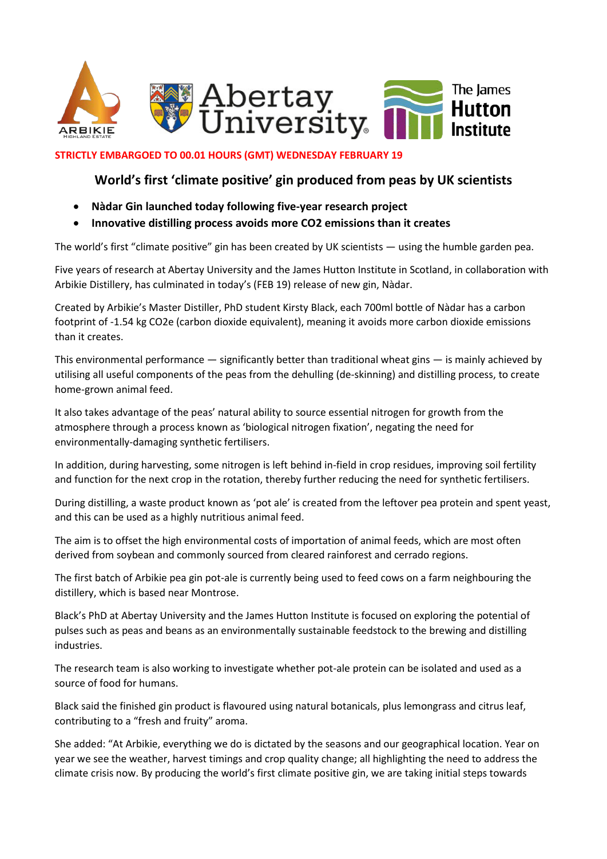

## **STRICTLY EMBARGOED TO 00.01 HOURS (GMT) WEDNESDAY FEBRUARY 19**

# **World's first 'climate positive' gin produced from peas by UK scientists**

- **Nàdar Gin launched today following five-year research project**
- **Innovative distilling process avoids more CO2 emissions than it creates**

The world's first "climate positive" gin has been created by UK scientists — using the humble garden pea.

Five years of research at Abertay University and the James Hutton Institute in Scotland, in collaboration with Arbikie Distillery, has culminated in today's (FEB 19) release of new gin, Nàdar.

Created by Arbikie's Master Distiller, PhD student Kirsty Black, each 700ml bottle of Nàdar has a carbon footprint of -1.54 kg CO2e (carbon dioxide equivalent), meaning it avoids more carbon dioxide emissions than it creates.

This environmental performance — significantly better than traditional wheat gins — is mainly achieved by utilising all useful components of the peas from the dehulling (de-skinning) and distilling process, to create home-grown animal feed.

It also takes advantage of the peas' natural ability to source essential nitrogen for growth from the atmosphere through a process known as 'biological nitrogen fixation', negating the need for environmentally-damaging synthetic fertilisers.

In addition, during harvesting, some nitrogen is left behind in-field in crop residues, improving soil fertility and function for the next crop in the rotation, thereby further reducing the need for synthetic fertilisers.

During distilling, a waste product known as 'pot ale' is created from the leftover pea protein and spent yeast, and this can be used as a highly nutritious animal feed.

The aim is to offset the high environmental costs of importation of animal feeds, which are most often derived from soybean and commonly sourced from cleared rainforest and cerrado regions.

The first batch of Arbikie pea gin pot-ale is currently being used to feed cows on a farm neighbouring the distillery, which is based near Montrose.

Black's PhD at Abertay University and the James Hutton Institute is focused on exploring the potential of pulses such as peas and beans as an environmentally sustainable feedstock to the brewing and distilling industries.

The research team is also working to investigate whether pot-ale protein can be isolated and used as a source of food for humans.

Black said the finished gin product is flavoured using natural botanicals, plus lemongrass and citrus leaf, contributing to a "fresh and fruity" aroma.

She added: "At Arbikie, everything we do is dictated by the seasons and our geographical location. Year on year we see the weather, harvest timings and crop quality change; all highlighting the need to address the climate crisis now. By producing the world's first climate positive gin, we are taking initial steps towards